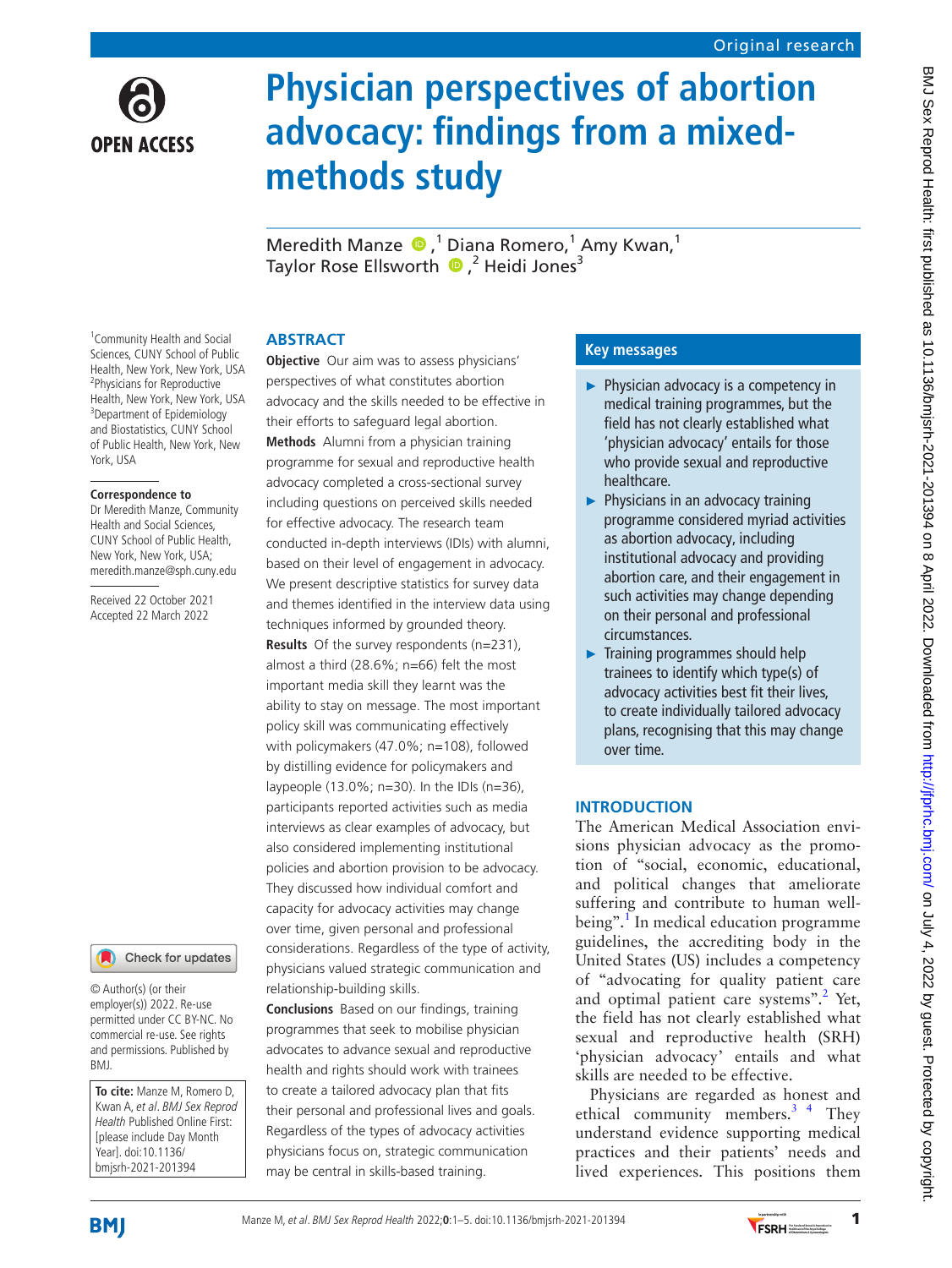

# **Physician perspectives of abortion advocacy: findings from a mixedmethods study**

MeredithManze  $\bigcirc$ ,<sup>1</sup> Diana Romero,<sup>1</sup> Amy Kwan,<sup>1</sup> TaylorRose Ellsworth <sup>1</sup> ,<sup>2</sup> Heidi Jones<sup>3</sup>

## **ABSTRACT**

**Objective** Our aim was to assess physicians' perspectives of what constitutes abortion advocacy and the skills needed to be effective in their efforts to safeguard legal abortion. **Methods** Alumni from a physician training programme for sexual and reproductive health advocacy completed a cross-sectional survey including questions on perceived skills needed for effective advocacy. The research team conducted in-depth interviews (IDIs) with alumni, based on their level of engagement in advocacy. We present descriptive statistics for survey data and themes identified in the interview data using techniques informed by grounded theory. **Results** Of the survey respondents (n=231), almost a third (28.6%; n=66) felt the most important media skill they learnt was the ability to stay on message. The most important policy skill was communicating effectively with policymakers (47.0%; n=108), followed by distilling evidence for policymakers and laypeople (13.0%; n=30). In the IDIs (n=36), participants reported activities such as media interviews as clear examples of advocacy, but also considered implementing institutional policies and abortion provision to be advocacy. They discussed how individual comfort and capacity for advocacy activities may change over time, given personal and professional considerations. Regardless of the type of activity, physicians valued strategic communication and relationship-building skills.

**Conclusions** Based on our findings, training programmes that seek to mobilise physician advocates to advance sexual and reproductive health and rights should work with trainees to create a tailored advocacy plan that fits their personal and professional lives and goals. Regardless of the types of advocacy activities physicians focus on, strategic communication may be central in skills-based training.

# **Key messages**

- ► Physician advocacy is a competency in medical training programmes, but the field has not clearly established what 'physician advocacy' entails for those who provide sexual and reproductive healthcare.
- ► Physicians in an advocacy training programme considered myriad activities as abortion advocacy, including institutional advocacy and providing abortion care, and their engagement in such activities may change depending on their personal and professional circumstances.
- ► Training programmes should help trainees to identify which type(s) of advocacy activities best fit their lives, to create individually tailored advocacy plans, recognising that this may change over time.

# **INTRODUCTION**

The American Medical Association envisions physician advocacy as the promotion of "social, economic, educational, and political changes that ameliorate suffering and contribute to human well-being".<sup>[1](#page-4-0)</sup> In medical education programme guidelines, the accrediting body in the United States (US) includes a competency of "advocating for quality patient care and optimal patient care systems".<sup>[2](#page-4-1)</sup> Yet, the field has not clearly established what sexual and reproductive health (SRH) 'physician advocacy' entails and what skills are needed to be effective.

Physicians are regarded as honest and ethical community members. $3<sup>4</sup>$  They understand evidence supporting medical practices and their patients' needs and lived experiences. This positions them

1 Community Health and Social Sciences, CUNY School of Public Health, New York, New York, USA 2 Physicians for Reproductive Health, New York, New York, USA <sup>3</sup>Department of Epidemiology and Biostatistics, CUNY School of Public Health, New York, New York, USA

#### **Correspondence to**

Dr Meredith Manze, Community Health and Social Sciences, CUNY School of Public Health, New York, New York, USA; meredith.manze@sph.cuny.edu

Received 22 October 2021 Accepted 22 March 2022



© Author(s) (or their employer(s)) 2022. Re-use permitted under CC BY-NC. No commercial re-use. See rights and permissions. Published by BMJ.

**To cite:** Manze M, Romero D, Kwan A, et al. BMJ Sex Reprod Health Published Online First: [please include Day Month Year]. doi:10.1136/ bmjsrh-2021-201394



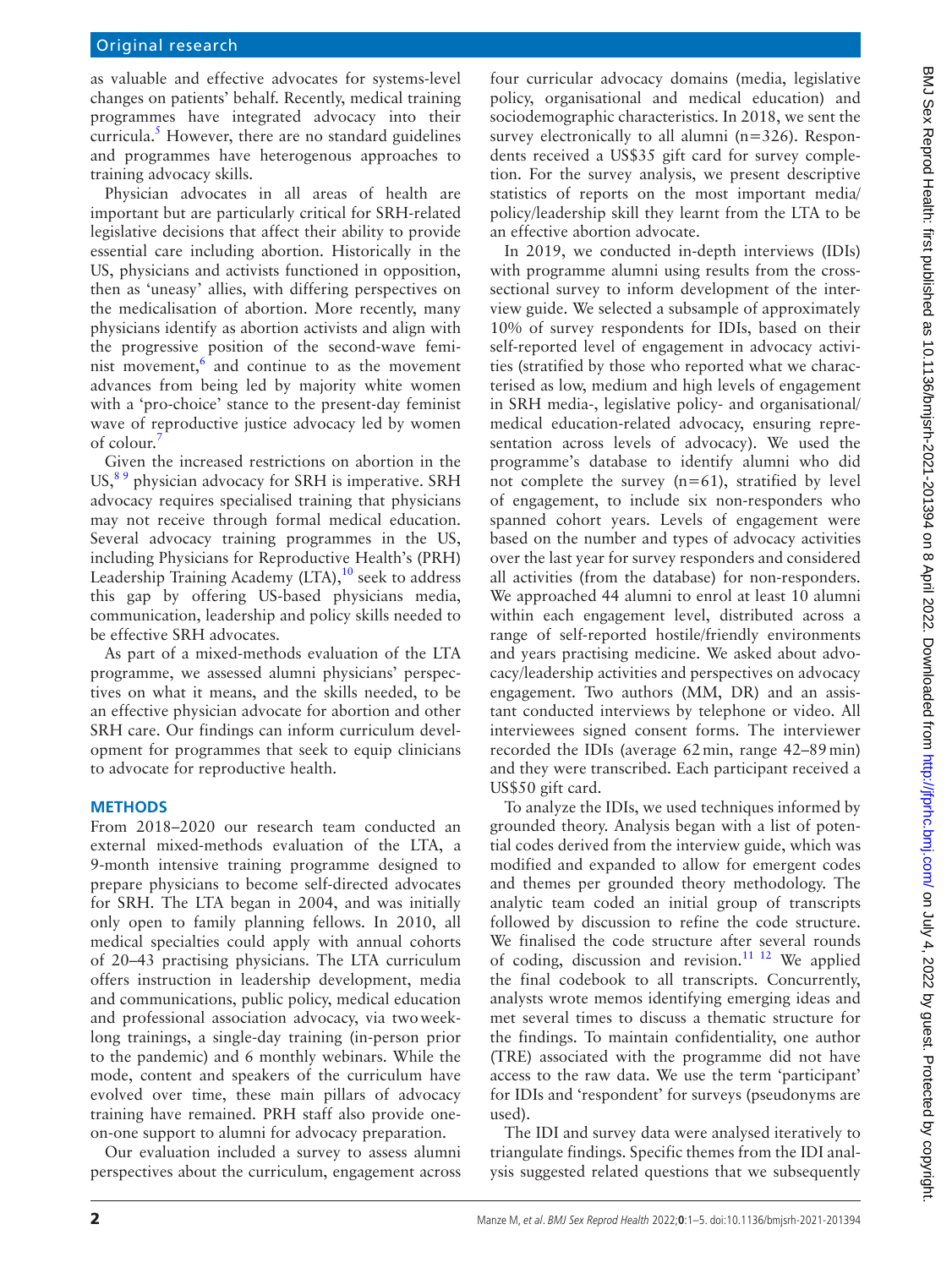as valuable and effective advocates for systems-level changes on patients' behalf. Recently, medical training programmes have integrated advocacy into their curricula.<sup>5</sup> However, there are no standard guidelines and programmes have heterogenous approaches to training advocacy skills.

Physician advocates in all areas of health are important but are particularly critical for SRH-related legislative decisions that affect their ability to provide essential care including abortion. Historically in the US, physicians and activists functioned in opposition, then as 'uneasy' allies, with differing perspectives on the medicalisation of abortion. More recently, many physicians identify as abortion activists and align with the progressive position of the second-wave feminist movement, $6$  and continue to as the movement advances from being led by majority white women with a 'pro-choice' stance to the present-day feminist wave of reproductive justice advocacy led by women of colour.

Given the increased restrictions on abortion in the US, $89$  physician advocacy for SRH is imperative. SRH advocacy requires specialised training that physicians may not receive through formal medical education. Several advocacy training programmes in the US, including Physicians for Reproductive Health's (PRH) Leadership Training Academy  $(LTA)$ ,<sup>[10](#page-4-7)</sup> seek to address this gap by offering US-based physicians media, communication, leadership and policy skills needed to be effective SRH advocates.

As part of a mixed-methods evaluation of the LTA programme, we assessed alumni physicians' perspectives on what it means, and the skills needed, to be an effective physician advocate for abortion and other SRH care. Our findings can inform curriculum development for programmes that seek to equip clinicians to advocate for reproductive health.

## **METHODS**

From 2018–2020 our research team conducted an external mixed-methods evaluation of the LTA, a 9-month intensive training programme designed to prepare physicians to become self-directed advocates for SRH. The LTA began in 2004, and was initially only open to family planning fellows. In 2010, all medical specialties could apply with annual cohorts of 20–43 practising physicians. The LTA curriculum offers instruction in leadership development, media and communications, public policy, medical education and professional association advocacy, via twoweeklong trainings, a single-day training (in-person prior to the pandemic) and 6 monthly webinars. While the mode, content and speakers of the curriculum have evolved over time, these main pillars of advocacy training have remained. PRH staff also provide oneon-one support to alumni for advocacy preparation.

Our evaluation included a survey to assess alumni perspectives about the curriculum, engagement across

four curricular advocacy domains (media, legislative policy, organisational and medical education) and sociodemographic characteristics. In 2018, we sent the survey electronically to all alumni (n=326). Respondents received a US\$35 gift card for survey completion. For the survey analysis, we present descriptive statistics of reports on the most important media/ policy/leadership skill they learnt from the LTA to be an effective abortion advocate.

In 2019, we conducted in-depth interviews (IDIs) with programme alumni using results from the crosssectional survey to inform development of the interview guide. We selected a subsample of approximately 10% of survey respondents for IDIs, based on their self-reported level of engagement in advocacy activities (stratified by those who reported what we characterised as low, medium and high levels of engagement in SRH media-, legislative policy- and organisational/ medical education-related advocacy, ensuring representation across levels of advocacy). We used the programme's database to identify alumni who did not complete the survey  $(n=61)$ , stratified by level of engagement, to include six non-responders who spanned cohort years. Levels of engagement were based on the number and types of advocacy activities over the last year for survey responders and considered all activities (from the database) for non-responders. We approached 44 alumni to enrol at least 10 alumni within each engagement level, distributed across a range of self-reported hostile/friendly environments and years practising medicine. We asked about advocacy/leadership activities and perspectives on advocacy engagement. Two authors (MM, DR) and an assistant conducted interviews by telephone or video. All interviewees signed consent forms. The interviewer recorded the IDIs (average 62min, range 42–89min) and they were transcribed. Each participant received a US\$50 gift card.

To analyze the IDIs, we used techniques informed by grounded theory. Analysis began with a list of potential codes derived from the interview guide, which was modified and expanded to allow for emergent codes and themes per grounded theory methodology. The analytic team coded an initial group of transcripts followed by discussion to refine the code structure. We finalised the code structure after several rounds of coding, discussion and revision.<sup>11 12</sup> We applied the final codebook to all transcripts. Concurrently, analysts wrote memos identifying emerging ideas and met several times to discuss a thematic structure for the findings. To maintain confidentiality, one author (TRE) associated with the programme did not have access to the raw data. We use the term 'participant' for IDIs and 'respondent' for surveys (pseudonyms are used).

The IDI and survey data were analysed iteratively to triangulate findings. Specific themes from the IDI analysis suggested related questions that we subsequently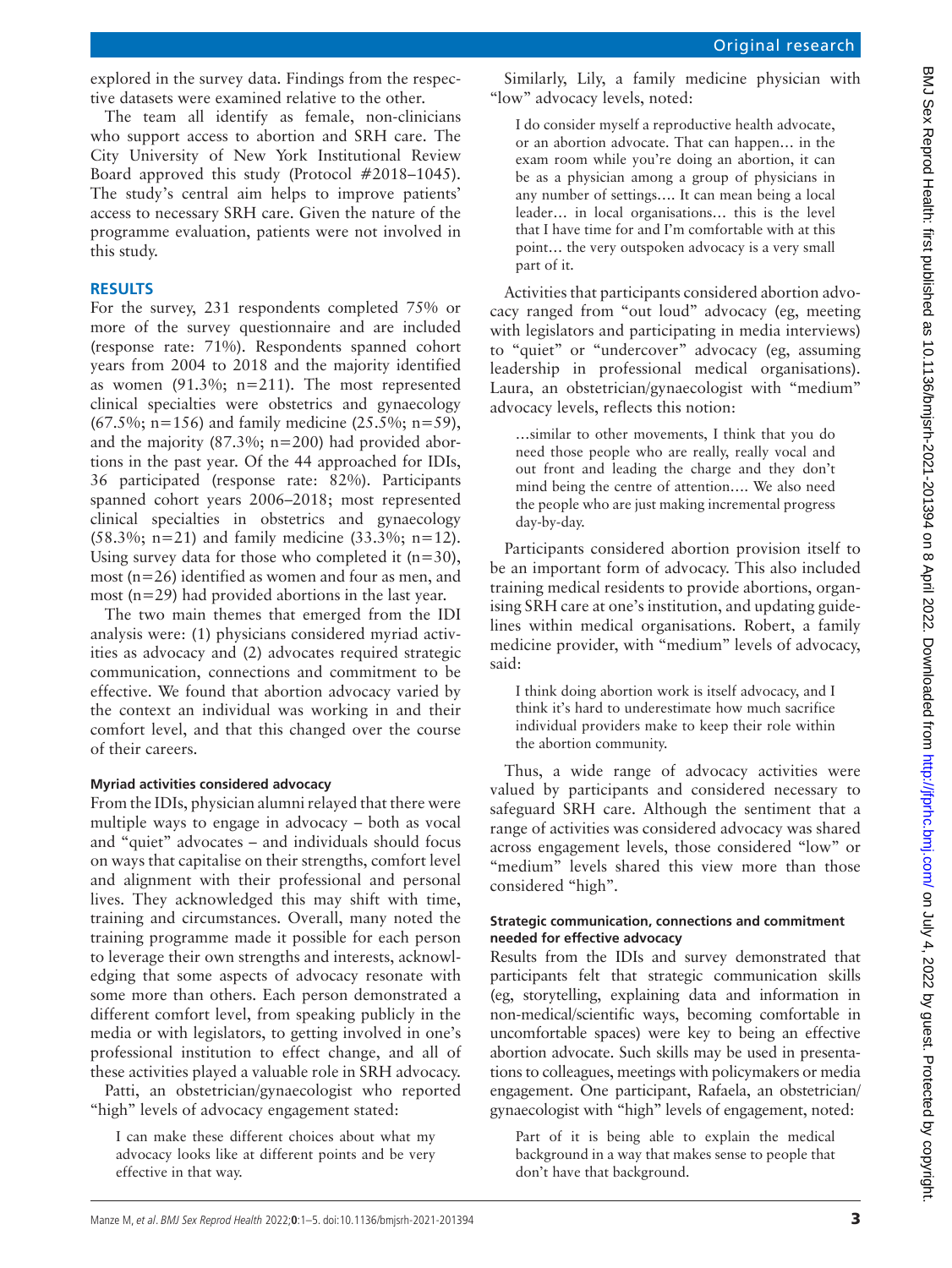BMJ Sex Reprod Health: first published as 10.1136/bmjsm-2021-201394 on 8 April 2022. Downloaded from http://jfprhc.bmj.com/ on July 4, 2022 by guest. Protected by copyright BMJ Sex Reprod Health: first published as 10.1136/bmjsrh-201394 on 8 April 2022. Downloaded from http://jprhc.bmj.com/ 9 and 9 Sex Reprod By copyright.

explored in the survey data. Findings from the respective datasets were examined relative to the other.

The team all identify as female, non-clinicians who support access to abortion and SRH care. The City University of New York Institutional Review Board approved this study (Protocol #2018–1045). The study's central aim helps to improve patients' access to necessary SRH care. Given the nature of the programme evaluation, patients were not involved in this study.

## **RESULTS**

For the survey, 231 respondents completed 75% or more of the survey questionnaire and are included (response rate: 71%). Respondents spanned cohort years from 2004 to 2018 and the majority identified as women (91.3%; n=211). The most represented clinical specialties were obstetrics and gynaecology (67.5%; n=156) and family medicine  $(25.5\%; n=59)$ , and the majority  $(87.3\%; n=200)$  had provided abortions in the past year. Of the 44 approached for IDIs, 36 participated (response rate: 82%). Participants spanned cohort years 2006–2018; most represented clinical specialties in obstetrics and gynaecology (58.3%; n=21) and family medicine (33.3%; n=12). Using survey data for those who completed it  $(n=30)$ , most (n=26) identified as women and four as men, and most (n=29) had provided abortions in the last year.

The two main themes that emerged from the IDI analysis were: (1) physicians considered myriad activities as advocacy and (2) advocates required strategic communication, connections and commitment to be effective. We found that abortion advocacy varied by the context an individual was working in and their comfort level, and that this changed over the course of their careers.

## **Myriad activities considered advocacy**

From the IDIs, physician alumni relayed that there were multiple ways to engage in advocacy – both as vocal and "quiet" advocates – and individuals should focus on ways that capitalise on their strengths, comfort level and alignment with their professional and personal lives. They acknowledged this may shift with time, training and circumstances. Overall, many noted the training programme made it possible for each person to leverage their own strengths and interests, acknowledging that some aspects of advocacy resonate with some more than others. Each person demonstrated a different comfort level, from speaking publicly in the media or with legislators, to getting involved in one's professional institution to effect change, and all of these activities played a valuable role in SRH advocacy.

Patti, an obstetrician/gynaecologist who reported "high" levels of advocacy engagement stated:

I can make these different choices about what my advocacy looks like at different points and be very effective in that way.

Similarly, Lily, a family medicine physician with "low" advocacy levels, noted:

I do consider myself a reproductive health advocate, or an abortion advocate. That can happen… in the exam room while you're doing an abortion, it can be as a physician among a group of physicians in any number of settings…. It can mean being a local leader… in local organisations… this is the level that I have time for and I'm comfortable with at this point… the very outspoken advocacy is a very small part of it.

Activities that participants considered abortion advocacy ranged from "out loud" advocacy (eg, meeting with legislators and participating in media interviews) to "quiet" or "undercover" advocacy (eg, assuming leadership in professional medical organisations). Laura, an obstetrician/gynaecologist with "medium" advocacy levels, reflects this notion:

…similar to other movements, I think that you do need those people who are really, really vocal and out front and leading the charge and they don't mind being the centre of attention…. We also need the people who are just making incremental progress day-by-day.

Participants considered abortion provision itself to be an important form of advocacy. This also included training medical residents to provide abortions, organising SRH care at one's institution, and updating guidelines within medical organisations. Robert, a family medicine provider, with "medium" levels of advocacy, said:

I think doing abortion work is itself advocacy, and I think it's hard to underestimate how much sacrifice individual providers make to keep their role within the abortion community.

Thus, a wide range of advocacy activities were valued by participants and considered necessary to safeguard SRH care. Although the sentiment that a range of activities was considered advocacy was shared across engagement levels, those considered "low" or "medium" levels shared this view more than those considered "high".

#### **Strategic communication, connections and commitment needed for effective advocacy**

Results from the IDIs and survey demonstrated that participants felt that strategic communication skills (eg, storytelling, explaining data and information in non-medical/scientific ways, becoming comfortable in uncomfortable spaces) were key to being an effective abortion advocate. Such skills may be used in presentations to colleagues, meetings with policymakers or media engagement. One participant, Rafaela, an obstetrician/ gynaecologist with "high" levels of engagement, noted:

Part of it is being able to explain the medical background in a way that makes sense to people that don't have that background.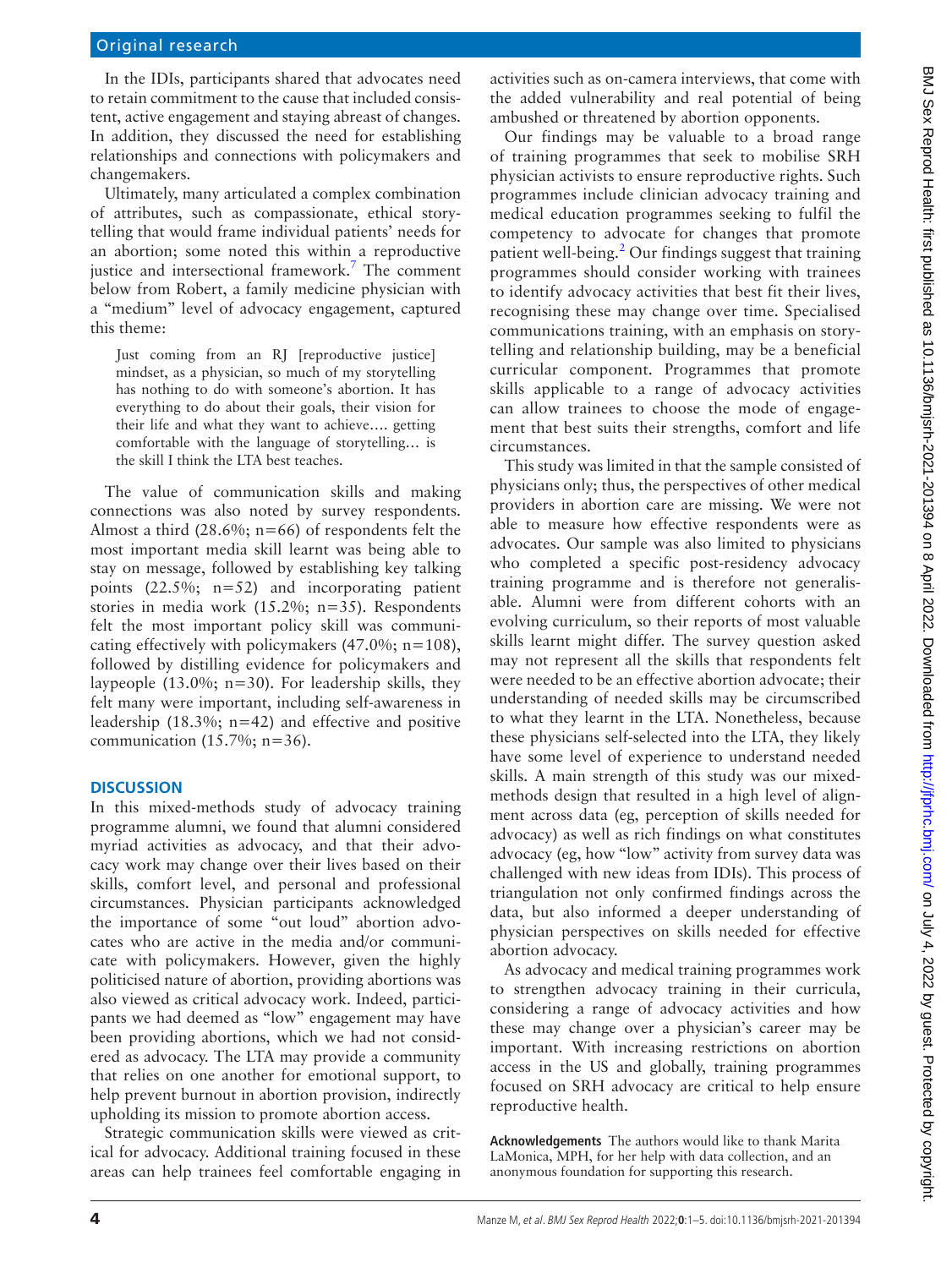#### Original research

In the IDIs, participants shared that advocates need to retain commitment to the cause that included consistent, active engagement and staying abreast of changes. In addition, they discussed the need for establishing relationships and connections with policymakers and changemakers.

Ultimately, many articulated a complex combination of attributes, such as compassionate, ethical storytelling that would frame individual patients' needs for an abortion; some noted this within a reproductive justice and intersectional framework.<sup>7</sup> The comment below from Robert, a family medicine physician with a "medium" level of advocacy engagement, captured this theme:

Just coming from an RJ [reproductive justice] mindset, as a physician, so much of my storytelling has nothing to do with someone's abortion. It has everything to do about their goals, their vision for their life and what they want to achieve…. getting comfortable with the language of storytelling… is the skill I think the LTA best teaches.

The value of communication skills and making connections was also noted by survey respondents. Almost a third  $(28.6\%; n=66)$  of respondents felt the most important media skill learnt was being able to stay on message, followed by establishing key talking points  $(22.5\%; n=52)$  and incorporating patient stories in media work (15.2%; n=35). Respondents felt the most important policy skill was communicating effectively with policymakers  $(47.0\%; n=108)$ , followed by distilling evidence for policymakers and laypeople (13.0%; n=30). For leadership skills, they felt many were important, including self-awareness in leadership  $(18.3\%; n=42)$  and effective and positive communication  $(15.7\%; n=36)$ .

#### **DISCUSSION**

In this mixed-methods study of advocacy training programme alumni, we found that alumni considered myriad activities as advocacy, and that their advocacy work may change over their lives based on their skills, comfort level, and personal and professional circumstances. Physician participants acknowledged the importance of some "out loud" abortion advocates who are active in the media and/or communicate with policymakers. However, given the highly politicised nature of abortion, providing abortions was also viewed as critical advocacy work. Indeed, participants we had deemed as "low" engagement may have been providing abortions, which we had not considered as advocacy. The LTA may provide a community that relies on one another for emotional support, to help prevent burnout in abortion provision, indirectly upholding its mission to promote abortion access.

Strategic communication skills were viewed as critical for advocacy. Additional training focused in these areas can help trainees feel comfortable engaging in

activities such as on-camera interviews, that come with the added vulnerability and real potential of being ambushed or threatened by abortion opponents.

Our findings may be valuable to a broad range of training programmes that seek to mobilise SRH physician activists to ensure reproductive rights. Such programmes include clinician advocacy training and medical education programmes seeking to fulfil the competency to advocate for changes that promote patient well-being.<sup>[2](#page-4-1)</sup> Our findings suggest that training programmes should consider working with trainees to identify advocacy activities that best fit their lives, recognising these may change over time. Specialised communications training, with an emphasis on storytelling and relationship building, may be a beneficial curricular component. Programmes that promote skills applicable to a range of advocacy activities can allow trainees to choose the mode of engagement that best suits their strengths, comfort and life circumstances.

This study was limited in that the sample consisted of physicians only; thus, the perspectives of other medical providers in abortion care are missing. We were not able to measure how effective respondents were as advocates. Our sample was also limited to physicians who completed a specific post-residency advocacy training programme and is therefore not generalisable. Alumni were from different cohorts with an evolving curriculum, so their reports of most valuable skills learnt might differ. The survey question asked may not represent all the skills that respondents felt were needed to be an effective abortion advocate; their understanding of needed skills may be circumscribed to what they learnt in the LTA. Nonetheless, because these physicians self-selected into the LTA, they likely have some level of experience to understand needed skills. A main strength of this study was our mixedmethods design that resulted in a high level of alignment across data (eg, perception of skills needed for advocacy) as well as rich findings on what constitutes advocacy (eg, how "low" activity from survey data was challenged with new ideas from IDIs). This process of triangulation not only confirmed findings across the data, but also informed a deeper understanding of physician perspectives on skills needed for effective abortion advocacy.

As advocacy and medical training programmes work to strengthen advocacy training in their curricula, considering a range of advocacy activities and how these may change over a physician's career may be important. With increasing restrictions on abortion access in the US and globally, training programmes focused on SRH advocacy are critical to help ensure reproductive health.

**Acknowledgements** The authors would like to thank Marita LaMonica, MPH, for her help with data collection, and an anonymous foundation for supporting this research.